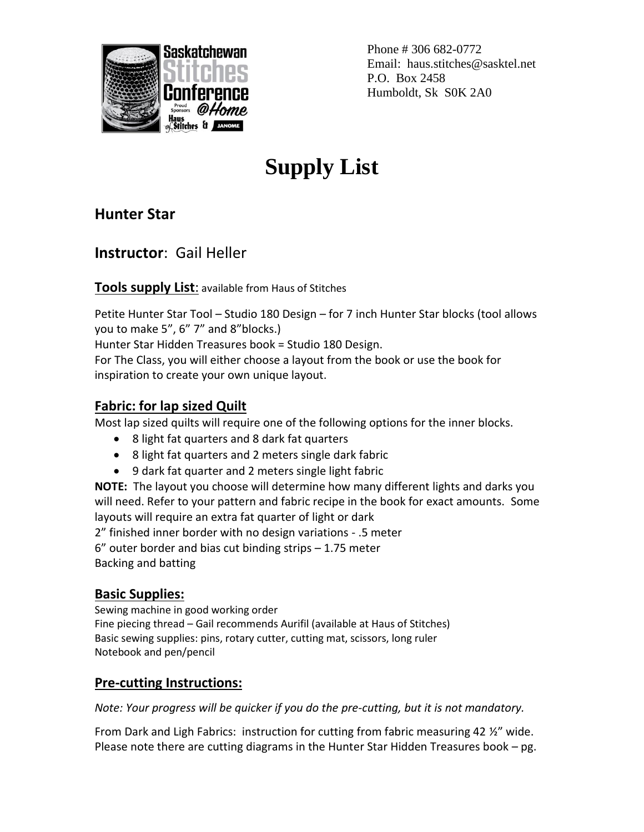

Phone # 306 682-0772 Email: haus.stitches@sasktel.net P.O. Box 2458 Humboldt, Sk S0K 2A0

# **Supply List**

**Hunter Star**

**Instructor**: Gail Heller

**Tools supply List**: available from Haus of Stitches

Petite Hunter Star Tool – Studio 180 Design – for 7 inch Hunter Star blocks (tool allows you to make 5", 6" 7" and 8"blocks.)

Hunter Star Hidden Treasures book = Studio 180 Design.

For The Class, you will either choose a layout from the book or use the book for inspiration to create your own unique layout.

## **Fabric: for lap sized Quilt**

Most lap sized quilts will require one of the following options for the inner blocks.

- 8 light fat quarters and 8 dark fat quarters
- 8 light fat quarters and 2 meters single dark fabric
- 9 dark fat quarter and 2 meters single light fabric

**NOTE:** The layout you choose will determine how many different lights and darks you will need. Refer to your pattern and fabric recipe in the book for exact amounts. Some layouts will require an extra fat quarter of light or dark

2" finished inner border with no design variations - .5 meter

6" outer border and bias cut binding strips – 1.75 meter Backing and batting

## **Basic Supplies:**

Sewing machine in good working order Fine piecing thread – Gail recommends Aurifil (available at Haus of Stitches) Basic sewing supplies: pins, rotary cutter, cutting mat, scissors, long ruler Notebook and pen/pencil

## **Pre-cutting Instructions:**

*Note: Your progress will be quicker if you do the pre-cutting, but it is not mandatory.*

From Dark and Ligh Fabrics: instruction for cutting from fabric measuring 42 ½" wide. Please note there are cutting diagrams in the Hunter Star Hidden Treasures book – pg.